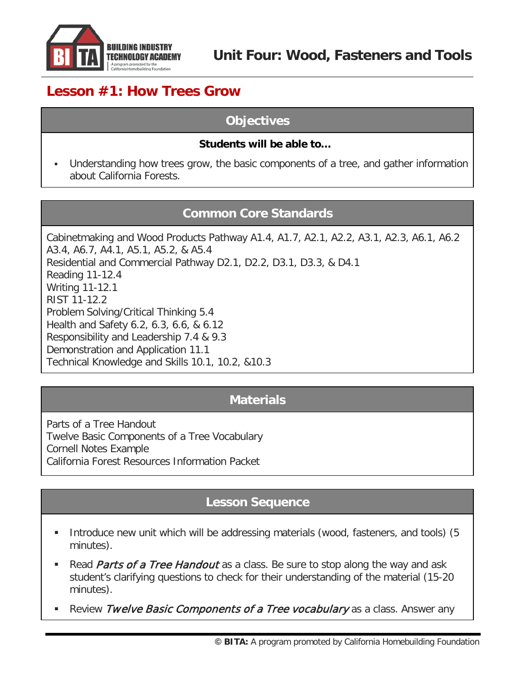

# **Lesson #1: How Trees Grow**

#### **Objectives**

#### **Students will be able to…**

 Understanding how trees grow, the basic components of a tree, and gather information about California Forests.

#### **Common Core Standards**

Cabinetmaking and Wood Products Pathway A1.4, A1.7, A2.1, A2.2, A3.1, A2.3, A6.1, A6.2 A3.4, A6.7, A4.1, A5.1, A5.2, & A5.4 Residential and Commercial Pathway D2.1, D2.2, D3.1, D3.3, & D4.1 Reading 11-12.4 Writing 11-12.1 RIST 11-12.2 Problem Solving/Critical Thinking 5.4 Health and Safety 6.2, 6.3, 6.6, & 6.12 Responsibility and Leadership 7.4 & 9.3 Demonstration and Application 11.1 Technical Knowledge and Skills 10.1, 10.2, &10.3

#### **Materials**

Parts of a Tree Handout Twelve Basic Components of a Tree Vocabulary Cornell Notes Example California Forest Resources Information Packet

#### **Lesson Sequence**

- Introduce new unit which will be addressing materials (wood, fasteners, and tools) (5 minutes).
- Read *Parts of a Tree Handout* as a class. Be sure to stop along the way and ask student's clarifying questions to check for their understanding of the material (15-20 minutes).
- Review Twelve Basic Components of a Tree vocabulary as a class. Answer any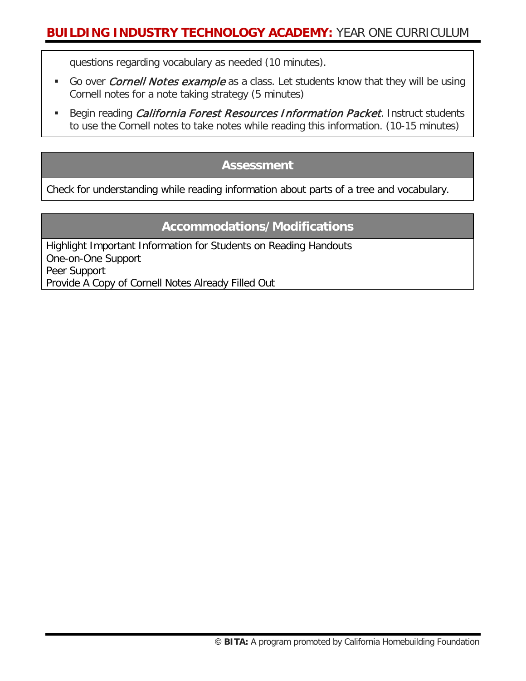questions regarding vocabulary as needed (10 minutes).

- Go over *Cornell Notes example* as a class. Let students know that they will be using Cornell notes for a note taking strategy (5 minutes)
- Begin reading *California Forest Resources Information Packet*. Instruct students to use the Cornell notes to take notes while reading this information. (10-15 minutes)

#### **Assessment**

Check for understanding while reading information about parts of a tree and vocabulary.

#### **Accommodations/Modifications**

Highlight Important Information for Students on Reading Handouts One-on-One Support Peer Support Provide A Copy of Cornell Notes Already Filled Out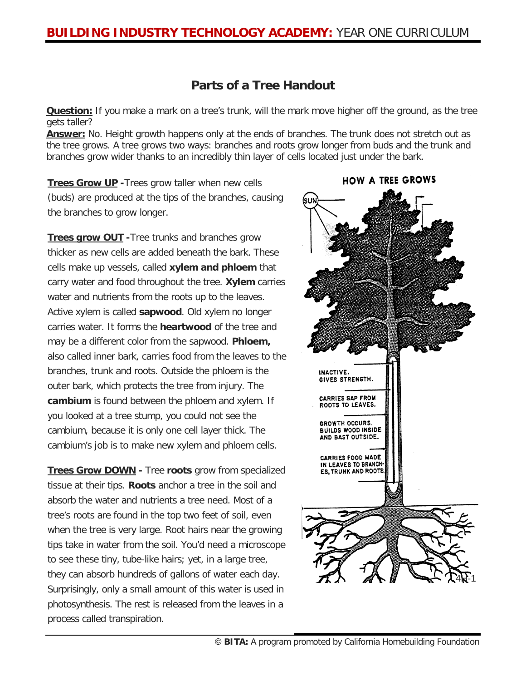#### **Parts of a Tree Handout**

**Question:** If you make a mark on a tree's trunk, will the mark move higher off the ground, as the tree gets taller?

**Answer:** No. Height growth happens only at the ends of branches. The trunk does not stretch out as the tree grows. A tree grows two ways: branches and roots grow longer from buds and the trunk and branches grow wider thanks to an incredibly thin layer of cells located just under the bark.

**Trees Grow UP -**Trees grow taller when new cells (buds) are produced at the tips of the branches, causing the branches to grow longer.

**Trees grow OUT -**Tree trunks and branches grow thicker as new cells are added beneath the bark. These cells make up vessels, called **xylem and phloem** that carry water and food throughout the tree. **Xylem** carries water and nutrients from the roots up to the leaves. Active xylem is called **sapwood**. Old xylem no longer carries water. It forms the **heartwood** of the tree and may be a different color from the sapwood. **Phloem,** also called inner bark, carries food from the leaves to the branches, trunk and roots. Outside the phloem is the outer bark, which protects the tree from injury. The **cambium** is found between the phloem and xylem. If you looked at a tree stump, you could not see the cambium, because it is only one cell layer thick. The cambium's job is to make new xylem and phloem cells.

**Trees Grow DOWN -** Tree **roots** grow from specialized tissue at their tips. **Roots** anchor a tree in the soil and absorb the water and nutrients a tree need. Most of a tree's roots are found in the top two feet of soil, even when the tree is very large. Root hairs near the growing tips take in water from the soil. You'd need a microscope to see these tiny, tube-like hairs; yet, in a large tree, they can absorb hundreds of gallons of water each day. Surprisingly, only a small amount of this water is used in photosynthesis. The rest is released from the leaves in a process called transpiration.



**HOW A TREE GROWS**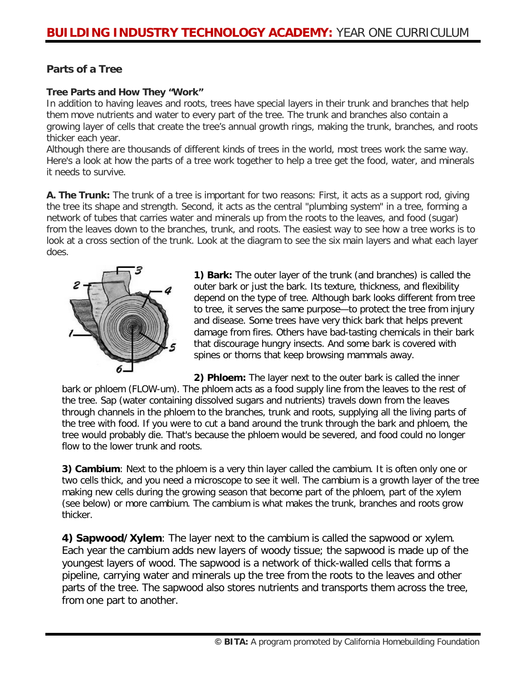#### **Parts of a Tree**

#### **Tree Parts and How They "Work"**

In addition to having leaves and roots, trees have special layers in their trunk and branches that help them move nutrients and water to every part of the tree. The trunk and branches also contain a growing layer of cells that create the tree's annual growth rings, making the trunk, branches, and roots thicker each year.

Although there are thousands of different kinds of trees in the world, most trees work the same way. Here's a look at how the parts of a tree work together to help a tree get the food, water, and minerals it needs to survive.

**A. The Trunk:** The trunk of a tree is important for two reasons: First, it acts as a support rod, giving the tree its shape and strength. Second, it acts as the central "plumbing system" in a tree, forming a network of tubes that carries water and minerals up from the roots to the leaves, and food (sugar) from the leaves down to the branches, trunk, and roots. The easiest way to see how a tree works is to look at a cross section of the trunk. Look at the diagram to see the six main layers and what each layer does.



**1) Bark:** The outer layer of the trunk (and branches) is called the outer bark or just the bark. Its texture, thickness, and flexibility depend on the type of tree. Although bark looks different from tree to tree, it serves the same purpose—to protect the tree from injury and disease. Some trees have very thick bark that helps prevent damage from fires. Others have bad-tasting chemicals in their bark that discourage hungry insects. And some bark is covered with spines or thorns that keep browsing mammals away.

**2) Phloem:** The layer next to the outer bark is called the inner bark or phloem (FLOW-um). The phloem acts as a food supply line from the leaves to the rest of the tree. Sap (water containing dissolved sugars and nutrients) travels down from the leaves through channels in the phloem to the branches, trunk and roots, supplying all the living parts of the tree with food. If you were to cut a band around the trunk through the bark and phloem, the tree would probably die. That's because the phloem would be severed, and food could no longer flow to the lower trunk and roots.

**3) Cambium**: Next to the phloem is a very thin layer called the cambium. It is often only one or two cells thick, and you need a microscope to see it well. The cambium is a growth layer of the tree making new cells during the growing season that become part of the phloem, part of the xylem (see below) or more cambium. The cambium is what makes the trunk, branches and roots grow thicker.

**4) Sapwood/Xylem**: The layer next to the cambium is called the sapwood or xylem. Each year the cambium adds new layers of woody tissue; the sapwood is made up of the youngest layers of wood. The sapwood is a network of thick-walled cells that forms a pipeline, carrying water and minerals up the tree from the roots to the leaves and other parts of the tree. The sapwood also stores nutrients and transports them across the tree, from one part to another.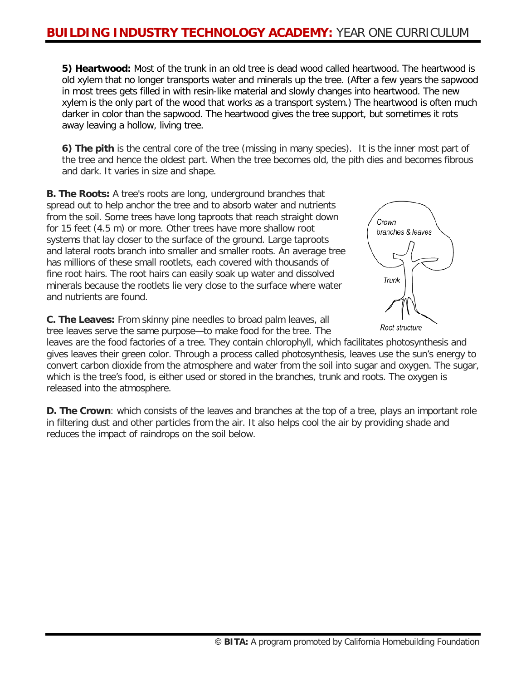**5) Heartwood:** Most of the trunk in an old tree is dead wood called heartwood. The heartwood is old xylem that no longer transports water and minerals up the tree. (After a few years the sapwood in most trees gets filled in with resin-like material and slowly changes into heartwood. The new xylem is the only part of the wood that works as a transport system.) The heartwood is often much darker in color than the sapwood. The heartwood gives the tree support, but sometimes it rots away leaving a hollow, living tree.

**6) The pith** is the central core of the tree (missing in many species). It is the inner most part of the tree and hence the oldest part. When the tree becomes old, the pith dies and becomes fibrous and dark. It varies in size and shape.

**B. The Roots:** A tree's roots are long, underground branches that spread out to help anchor the tree and to absorb water and nutrients from the soil. Some trees have long taproots that reach straight down for 15 feet (4.5 m) or more. Other trees have more shallow root systems that lay closer to the surface of the ground. Large taproots and lateral roots branch into smaller and smaller roots. An average tree has millions of these small rootlets, each covered with thousands of fine root hairs. The root hairs can easily soak up water and dissolved minerals because the rootlets lie very close to the surface where water and nutrients are found.

**C. The Leaves:** From skinny pine needles to broad palm leaves, all tree leaves serve the same purpose—to make food for the tree. The



Root structure

leaves are the food factories of a tree. They contain chlorophyll, which facilitates photosynthesis and gives leaves their green color. Through a process called photosynthesis, leaves use the sun's energy to convert carbon dioxide from the atmosphere and water from the soil into sugar and oxygen. The sugar, which is the tree's food, is either used or stored in the branches, trunk and roots. The oxygen is released into the atmosphere.

**D. The Crown**: which consists of the leaves and branches at the top of a tree, plays an important role in filtering dust and other particles from the air. It also helps cool the air by providing shade and reduces the impact of raindrops on the soil below.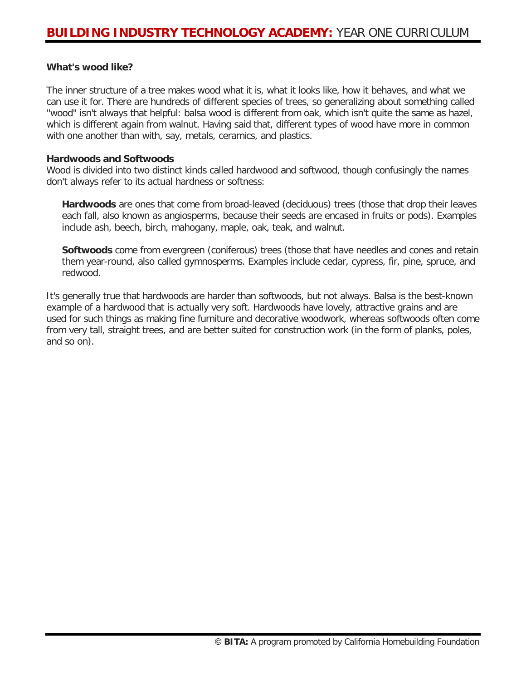#### **What's wood like?**

The inner structure of a tree makes wood what it is, what it looks like, how it behaves, and what we can use it for. There are hundreds of different species of trees, so generalizing about something called "wood" isn't always that helpful: balsa wood is different from oak, which isn't quite the same as hazel, which is different again from walnut. Having said that, different types of wood have more in common with one another than with, say, metals, ceramics, and plastics.

#### **Hardwoods and Softwoods**

Wood is divided into two distinct kinds called hardwood and softwood, though confusingly the names don't always refer to its actual hardness or softness:

**Hardwoods** are ones that come from broad-leaved (deciduous) trees (those that drop their leaves each fall, also known as angiosperms, because their seeds are encased in fruits or pods). Examples include ash, beech, birch, mahogany, maple, oak, teak, and walnut.

**Softwoods** come from evergreen (coniferous) trees (those that have needles and cones and retain them year-round, also called gymnosperms. Examples include cedar, cypress, fir, pine, spruce, and redwood.

It's generally true that hardwoods are harder than softwoods, but not always. Balsa is the best-known example of a hardwood that is actually very soft. Hardwoods have lovely, attractive grains and are used for such things as making fine furniture and decorative woodwork, whereas softwoods often come from very tall, straight trees, and are better suited for construction work (in the form of planks, poles, and so on).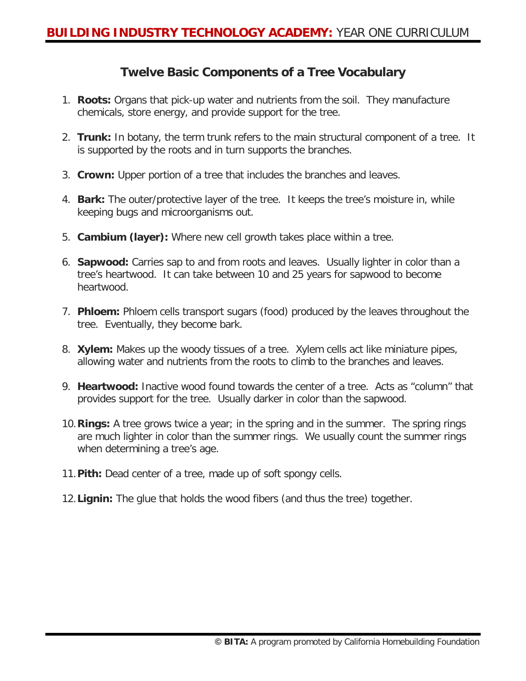#### **Twelve Basic Components of a Tree Vocabulary**

- 1. **Roots:** Organs that pick-up water and nutrients from the soil. They manufacture chemicals, store energy, and provide support for the tree.
- 2. **Trunk:** In botany, the term trunk refers to the main structural component of a tree. It is supported by the roots and in turn supports the branches.
- 3. **Crown:** Upper portion of a tree that includes the branches and leaves.
- 4. **Bark:** The outer/protective layer of the tree. It keeps the tree's moisture in, while keeping bugs and microorganisms out.
- 5. **Cambium (layer):** Where new cell growth takes place within a tree.
- 6. **Sapwood:** Carries sap to and from roots and leaves. Usually lighter in color than a tree's heartwood. It can take between 10 and 25 years for sapwood to become heartwood.
- 7. **Phloem:** Phloem cells transport sugars (food) produced by the leaves throughout the tree. Eventually, they become bark.
- 8. **Xylem:** Makes up the woody tissues of a tree. Xylem cells act like miniature pipes, allowing water and nutrients from the roots to climb to the branches and leaves.
- 9. **Heartwood:** Inactive wood found towards the center of a tree. Acts as "column" that provides support for the tree. Usually darker in color than the sapwood.
- 10.**Rings:** A tree grows twice a year; in the spring and in the summer. The spring rings are much lighter in color than the summer rings. We usually count the summer rings when determining a tree's age.
- 11.**Pith:** Dead center of a tree, made up of soft spongy cells.
- 12.**Lignin:** The glue that holds the wood fibers (and thus the tree) together.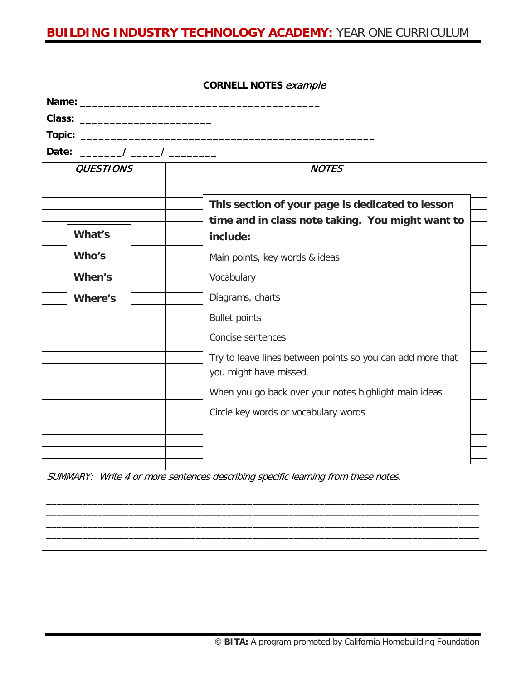|                  | <b>CORNELL NOTES example</b>                                                      |  |
|------------------|-----------------------------------------------------------------------------------|--|
|                  |                                                                                   |  |
|                  |                                                                                   |  |
|                  |                                                                                   |  |
|                  |                                                                                   |  |
| <b>QUESTIONS</b> | <b>NOTES</b>                                                                      |  |
|                  |                                                                                   |  |
|                  | This section of your page is dedicated to lesson                                  |  |
| What's           | time and in class note taking. You might want to                                  |  |
|                  | include:                                                                          |  |
| Who's            | Main points, key words & ideas                                                    |  |
| When's           | Vocabulary                                                                        |  |
| <b>Where's</b>   | Diagrams, charts                                                                  |  |
|                  | <b>Bullet points</b>                                                              |  |
|                  | Concise sentences                                                                 |  |
|                  | Try to leave lines between points so you can add more that                        |  |
|                  | you might have missed.                                                            |  |
|                  | When you go back over your notes highlight main ideas                             |  |
|                  | Circle key words or vocabulary words                                              |  |
|                  |                                                                                   |  |
|                  |                                                                                   |  |
|                  |                                                                                   |  |
|                  | SUMMARY: Write 4 or more sentences describing specific learning from these notes. |  |
|                  |                                                                                   |  |
|                  |                                                                                   |  |
|                  |                                                                                   |  |
|                  |                                                                                   |  |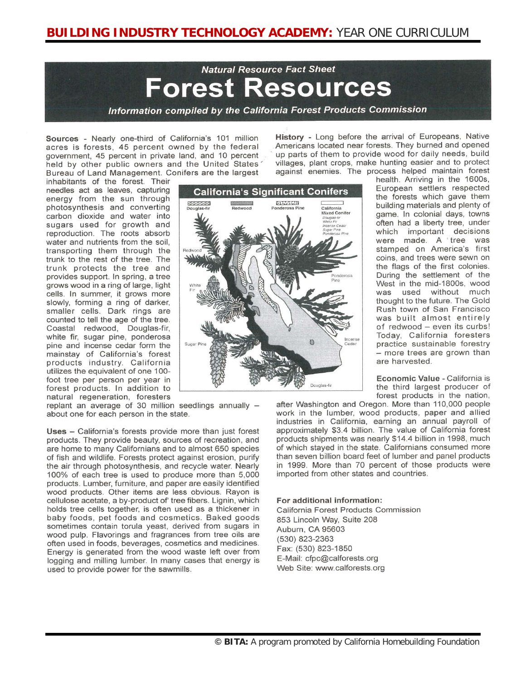# **Natural Resource Fact Sheet** Forest Resources

Information compiled by the California Forest Products Commission

government, 45 percent in private land, and 10 percent held by other public owners and the United States' Bureau of Land Management. Conifers are the largest

 $\mathcal{L}$ 

**Sources** - Nearly one-third of California's 101 million **History** - Long before the arrival of Europeans, Native acres is forests, 45 percent owned by the federal Americans located near forests. They burned and opened up parts of them to provide wood for daily needs, build villages, plant crops, make hunting easier and to protect against enemies. The process helped maintain forest

inhabitants of the forest. Their needles act as leaves, capturing energy from the sun through photosynthesis and converting carbon dioxide and water into sugars used for growth and reproduction. The roots absorb water and nutrients from the soil, transporting them through the trunk to the rest of the tree. The trunk protects the tree and provides support. In spring, a tree grows wood in a ring of large, light cells. In summer, it grows more slowly, forming a ring of darker, smaller cells. Dark rings are counted to tell the age of the tree. Coastal redwood, Douglas-fir, white fir, sugar pine, ponderosa pine and incense cedar form the mainstay of California's forest products industry. California utilizes the equivalent of one 100foot tree per person per year in forest products. In addition to natural regeneration, foresters

**California's Significant Conifers Except**<br>Douglas-fir 83353228 ┑ California Mixed Conifer Douglas Incense Ð Douglas-fir

replant an average of 30 million seedlings annually about one for each person in the state.

Uses - California's forests provide more than just forest products. They provide beauty, sources of recreation, and are home to many Californians and to almost 650 species of fish and wildlife. Forests protect against erosion, purify the air through photosynthesis, and recycle water. Nearly 100% of each tree is used to produce more than 5,000 products. Lumber, furniture, and paper are easily identified wood products. Other items are less obvious. Rayon is cellulose acetate, a by-product of tree fibers. Lignin, which holds tree cells together, is often used as a thickener in baby foods, pet foods and cosmetics. Baked goods sometimes contain torula yeast, derived from sugars in wood pulp. Flavorings and fragrances from tree oils are often used in foods, beverages, cosmetics and medicines. Energy is generated from the wood waste left over from logging and milling lumber. In many cases that energy is used to provide power for the sawmills.

health. Arriving in the 1600s, European settlers respected the forests which gave them building materials and plenty of game. In colonial days, towns often had a liberty tree, under which important decisions were made. A tree was stamped on America's first coins, and trees were sewn on the flags of the first colonies. During the settlement of the West in the mid-1800s, wood was used without much thought to the future. The Gold Rush town of San Francisco was built almost entirely of redwood - even its curbs! Today, California foresters practice sustainable forestry - more trees are grown than are harvested.

Economic Value - California is the third largest producer of forest products in the nation,

after Washington and Oregon. More than 110,000 people work in the lumber, wood products, paper and allied industries in California, earning an annual payroll of approximately \$3.4 billion. The value of California forest products shipments was nearly \$14.4 billion in 1998, much of which staved in the state. Californians consumed more than seven billion board feet of lumber and panel products in 1999. More than 70 percent of those products were imported from other states and countries.

#### For additional information:

California Forest Products Commission 853 Lincoln Way, Suite 208 Auburn, CA 95603 (530) 823-2363 Fax: (530) 823-1850 E-Mail: cfpc@calforests.org Web Site: www.calforests.org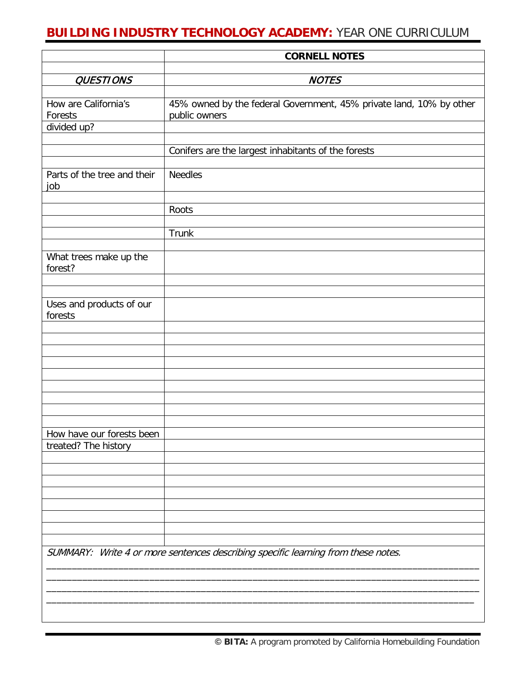|                                     | <b>CORNELL NOTES</b>                                                                 |
|-------------------------------------|--------------------------------------------------------------------------------------|
| <b>QUESTIONS</b>                    | <b>NOTES</b>                                                                         |
|                                     |                                                                                      |
| How are California's<br>Forests     | 45% owned by the federal Government, 45% private land, 10% by other<br>public owners |
| divided up?                         |                                                                                      |
|                                     | Conifers are the largest inhabitants of the forests                                  |
| Parts of the tree and their<br>job  | <b>Needles</b>                                                                       |
|                                     | Roots                                                                                |
|                                     | Trunk                                                                                |
| What trees make up the<br>forest?   |                                                                                      |
| Uses and products of our<br>forests |                                                                                      |
|                                     |                                                                                      |
|                                     |                                                                                      |
|                                     |                                                                                      |
| How have our forests been           |                                                                                      |
| treated? The history                |                                                                                      |
|                                     |                                                                                      |
|                                     |                                                                                      |
|                                     |                                                                                      |
|                                     | SUMMARY: Write 4 or more sentences describing specific learning from these notes.    |
|                                     |                                                                                      |
|                                     |                                                                                      |
|                                     |                                                                                      |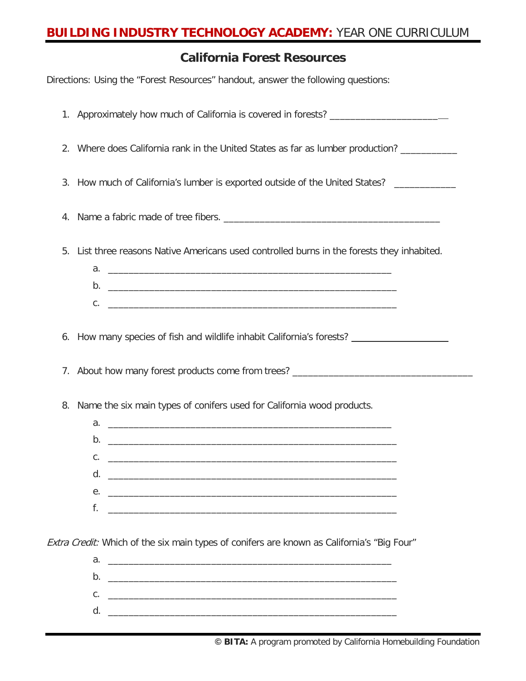### **California Forest Resources**

Directions: Using the "Forest Resources" handout, answer the following questions:

|    | 1. Approximately how much of California is covered in forests? __________________                                                                                                                                 |
|----|-------------------------------------------------------------------------------------------------------------------------------------------------------------------------------------------------------------------|
|    | 2. Where does California rank in the United States as far as lumber production?                                                                                                                                   |
|    | 3. How much of California's lumber is exported outside of the United States? __________                                                                                                                           |
| 4. |                                                                                                                                                                                                                   |
| 5. | List three reasons Native Americans used controlled burns in the forests they inhabited.                                                                                                                          |
|    | 6. How many species of fish and wildlife inhabit California's forests? ________________                                                                                                                           |
|    | 7. About how many forest products come from trees? _____________________________                                                                                                                                  |
| 8. | Name the six main types of conifers used for California wood products.<br>d.<br>е.<br>f.<br><u> 1989 - Johann Stoff, deutscher Stoff, der Stoff, der Stoff, der Stoff, der Stoff, der Stoff, der Stoff, der S</u> |
|    | Extra Credit: Which of the six main types of conifers are known as California's "Big Four"                                                                                                                        |
|    |                                                                                                                                                                                                                   |
|    | b.                                                                                                                                                                                                                |
|    |                                                                                                                                                                                                                   |

d. \_\_\_\_\_\_\_\_\_\_\_\_\_\_\_\_\_\_\_\_\_\_\_\_\_\_\_\_\_\_\_\_\_\_\_\_\_\_\_\_\_\_\_\_\_\_\_\_\_\_\_\_\_\_\_\_